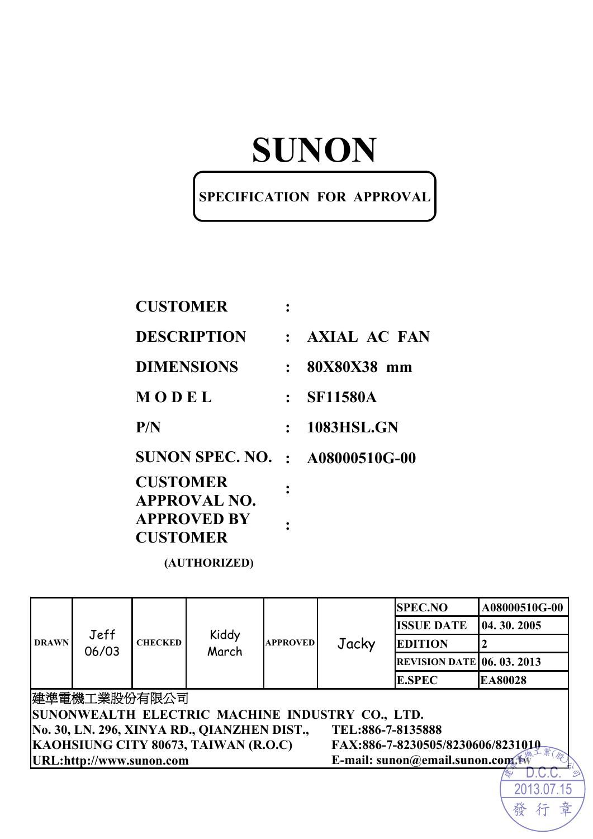# **SUNON**

### **SPECIFICATION FOR APPROVAL**

| <b>CUSTOMER</b>                        |                  |
|----------------------------------------|------------------|
| DESCRIPTION                            | $:$ AXIAL AC FAN |
| <b>DIMENSIONS</b>                      | $: 80X80X38$ mm  |
| MODEL                                  | : SF11580A       |
| P/N                                    | : 1083HSL.GN     |
| <b>SUNON SPEC. NO. : A08000510G-00</b> |                  |
| <b>CUSTOMER</b><br>APPROVAL NO.        |                  |
| <b>APPROVED BY</b><br><b>CUSTOMER</b>  |                  |
|                                        |                  |

**(AUTHORIZED)** 

|                                                                  |                                                                           |                |       |                 |       | <b>SPEC.NO</b>                    | A08000510G-00 |
|------------------------------------------------------------------|---------------------------------------------------------------------------|----------------|-------|-----------------|-------|-----------------------------------|---------------|
| <b>DRAWN</b>                                                     | Jeff                                                                      | <b>CHECKED</b> | Kiddy |                 | Jacky | <b>ISSUE DATE</b>                 | 04.30.2005    |
|                                                                  |                                                                           |                |       | <b>APPROVED</b> |       | <b>EDITION</b>                    | 12            |
|                                                                  | 06/03                                                                     |                | March |                 |       | <b>REVISION DATE 06. 03. 2013</b> |               |
|                                                                  |                                                                           |                |       |                 |       | <b>E.SPEC</b>                     | EA80028       |
| 建準電機工業股份有限公司                                                     |                                                                           |                |       |                 |       |                                   |               |
| SUNONWEALTH ELECTRIC MACHINE INDUSTRY CO., LTD.                  |                                                                           |                |       |                 |       |                                   |               |
| No. 30, LN. 296, XINYA RD., QIANZHEN DIST.,<br>TEL:886-7-8135888 |                                                                           |                |       |                 |       |                                   |               |
|                                                                  | KAOHSIUNG CITY 80673, TAIWAN (R.O.C)<br>FAX:886-7-8230505/8230606/8231010 |                |       |                 |       |                                   |               |
|                                                                  | URL:http://www.sunon.com<br>E-mail: sunon@email.sunon.com.tw              |                |       |                 |       |                                   |               |
|                                                                  |                                                                           |                |       |                 |       |                                   |               |
|                                                                  |                                                                           |                |       |                 |       |                                   |               |

章

發

行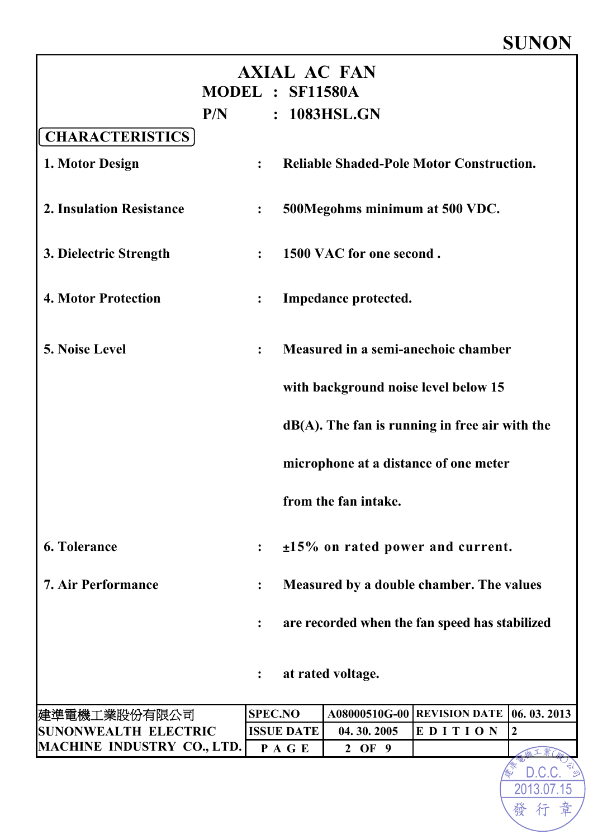# **SUNON**

2013.07.15 D.C.C.

|                                   | MODEL : SF11580A       |                                                 | <b>AXIAL AC FAN</b>      |                                                   |                  |  |  |
|-----------------------------------|------------------------|-------------------------------------------------|--------------------------|---------------------------------------------------|------------------|--|--|
| P/N                               |                        |                                                 | : 1083HSL.GN             |                                                   |                  |  |  |
| <b>CHARACTERISTICS</b>            |                        |                                                 |                          |                                                   |                  |  |  |
| 1. Motor Design                   | $\ddot{\cdot}$         | <b>Reliable Shaded-Pole Motor Construction.</b> |                          |                                                   |                  |  |  |
| <b>2. Insulation Resistance</b>   | $\ddot{\cdot}$         | 500Megohms minimum at 500 VDC.                  |                          |                                                   |                  |  |  |
| 3. Dielectric Strength            | $\ddot{\cdot}$         |                                                 | 1500 VAC for one second. |                                                   |                  |  |  |
| <b>4. Motor Protection</b>        | $\ddot{\cdot}$         | Impedance protected.                            |                          |                                                   |                  |  |  |
| <b>5. Noise Level</b>             | $\ddot{\cdot}$         | Measured in a semi-anechoic chamber             |                          |                                                   |                  |  |  |
|                                   |                        |                                                 |                          | with background noise level below 15              |                  |  |  |
|                                   |                        |                                                 |                          | $dB(A)$ . The fan is running in free air with the |                  |  |  |
|                                   |                        | microphone at a distance of one meter           |                          |                                                   |                  |  |  |
|                                   |                        |                                                 | from the fan intake.     |                                                   |                  |  |  |
| <b>6. Tolerance</b>               | $\ddot{\cdot}$         |                                                 |                          | $±15\%$ on rated power and current.               |                  |  |  |
| <b>7. Air Performance</b>         |                        |                                                 |                          | Measured by a double chamber. The values          |                  |  |  |
|                                   |                        |                                                 |                          | are recorded when the fan speed has stabilized    |                  |  |  |
|                                   | at rated voltage.<br>: |                                                 |                          |                                                   |                  |  |  |
| 建準電機工業股份有限公司                      | <b>SPEC.NO</b>         |                                                 |                          | A08000510G-00 REVISION DATE 06. 03. 2013          |                  |  |  |
| <b>SUNONWEALTH ELECTRIC</b>       |                        | <b>ISSUE DATE</b>                               | 04.30.2005               | EDITION                                           | $\boldsymbol{2}$ |  |  |
| <b>MACHINE INDUSTRY CO., LTD.</b> |                        | PAGE                                            | 2 OF 9                   |                                                   |                  |  |  |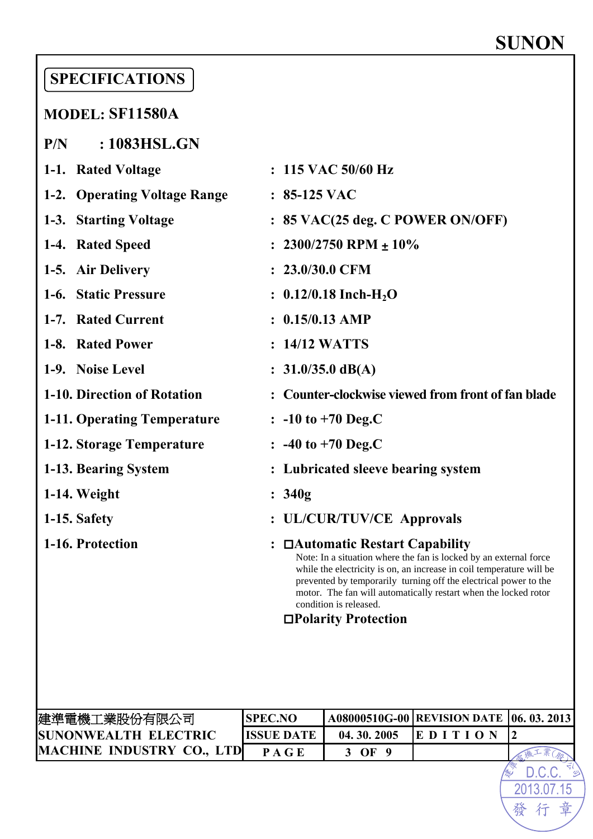2013.07.15

行

發

章

# **SPECIFICATIONS**

### **MODEL: SF11580A**

**P/N : 1083HSL.GN** 

| 1-1. Rated Voltage           | : 115 VAC 50/60 Hz                                                                                                                                                                                                                                                                                                                                  |
|------------------------------|-----------------------------------------------------------------------------------------------------------------------------------------------------------------------------------------------------------------------------------------------------------------------------------------------------------------------------------------------------|
| 1-2. Operating Voltage Range | $: 85-125$ VAC                                                                                                                                                                                                                                                                                                                                      |
| 1-3. Starting Voltage        | $: 85$ VAC(25 deg. C POWER ON/OFF)                                                                                                                                                                                                                                                                                                                  |
| 1-4. Rated Speed             | $2300/2750$ RPM $\pm 10\%$                                                                                                                                                                                                                                                                                                                          |
| 1-5. Air Delivery            | $: 23.0/30.0$ CFM                                                                                                                                                                                                                                                                                                                                   |
| 1-6. Static Pressure         | : $0.12/0.18$ Inch-H <sub>2</sub> O                                                                                                                                                                                                                                                                                                                 |
| 1-7. Rated Current           | $: 0.15/0.13$ AMP                                                                                                                                                                                                                                                                                                                                   |
| 1-8. Rated Power             | : 14/12 WATTS                                                                                                                                                                                                                                                                                                                                       |
| 1-9. Noise Level             | : $31.0/35.0 \text{ dB}(A)$                                                                                                                                                                                                                                                                                                                         |
| 1-10. Direction of Rotation  | <b>Counter-clockwise viewed from front of fan blade</b>                                                                                                                                                                                                                                                                                             |
| 1-11. Operating Temperature  | $\therefore$ -10 to +70 Deg.C                                                                                                                                                                                                                                                                                                                       |
| 1-12. Storage Temperature    | $\therefore$ -40 to +70 Deg.C                                                                                                                                                                                                                                                                                                                       |
| 1-13. Bearing System         | Lubricated sleeve bearing system                                                                                                                                                                                                                                                                                                                    |
| 1-14. Weight                 | : 340g                                                                                                                                                                                                                                                                                                                                              |
| 1-15. Safety                 | <b>UL/CUR/TUV/CE Approvals</b>                                                                                                                                                                                                                                                                                                                      |
| 1-16. Protection             | : $\Box$ Automatic Restart Capability<br>Note: In a situation where the fan is locked by an external force<br>while the electricity is on, an increase in coil temperature will be<br>prevented by temporarily turning off the electrical power to the<br>motor. The fan will automatically restart when the locked rotor<br>condition is released. |

### *Polarity Protection*

| 建準電機工業股份有限公司                     | <b>SPEC.NO</b>    |            | A08000510G-00   REVISION DATE   06. 03. 2013 |  |
|----------------------------------|-------------------|------------|----------------------------------------------|--|
| <b>SUNONWEALTH ELECTRIC</b>      | <b>ISSUE DATE</b> | 04.30.2005 |                                              |  |
| <b>MACHINE INDUSTRY CO., LTD</b> | P A G E           | ОF         |                                              |  |
|                                  |                   |            |                                              |  |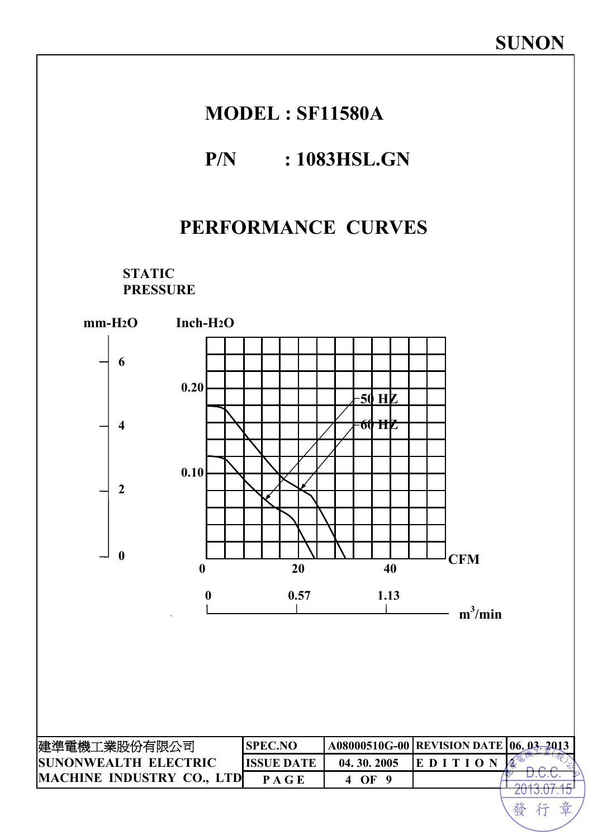### **MODEL : SF11580A**

### **P/N : 1083HSL.GN**

### **PERFORMANCE CURVES**

**STATIC PRESSURE** 

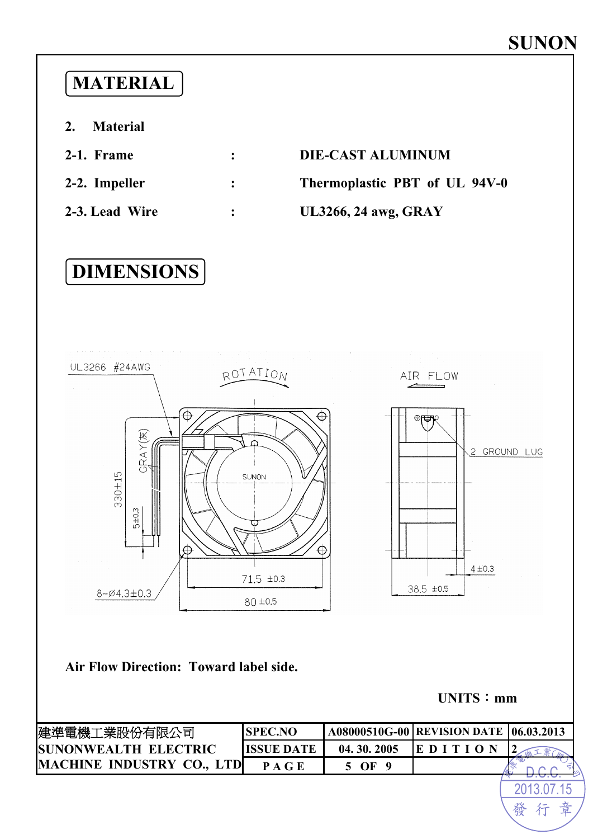# **MATERIAL**

- **2. Material**
- 
- 

# **2-1. Frame : DIE-CAST ALUMINUM**

**2-2. Impeller : Thermoplastic PBT of UL 94V-0** 

### **2-3. Lead Wire : UL3266, 24 awg, GRAY**

# **DIMENSIONS**



#### **Air Flow Direction: Toward label side.**

**UNITS**:**mm**

| <b>ISUNONWEALTH ELECTRIC</b><br>04.30.2005<br>ISSUE DATE |        |  |
|----------------------------------------------------------|--------|--|
|                                                          | IE D 1 |  |
| MACHINE INDUSTRY CO., LTD<br>OЕ                          |        |  |

2013.07.15 行

發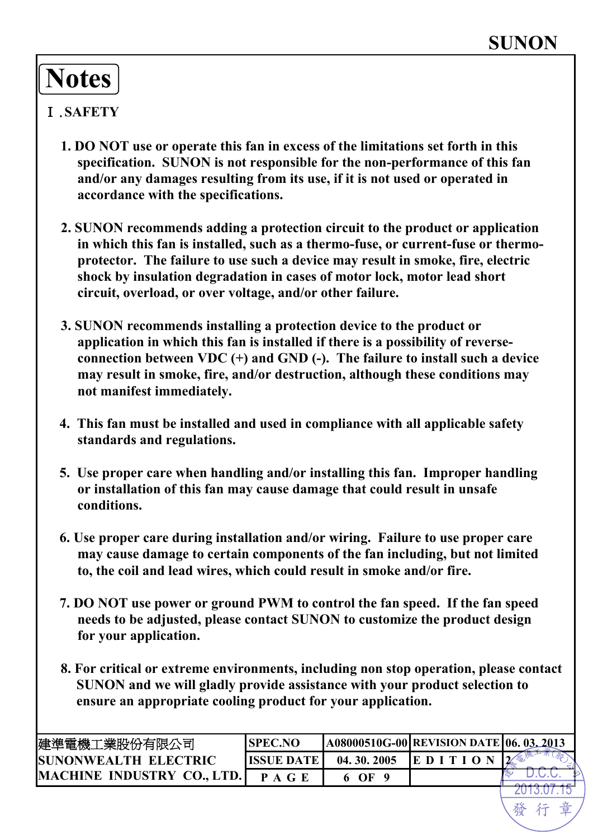# **Notes**

### Ⅰ.**SAFETY**

- **1. DO NOT use or operate this fan in excess of the limitations set forth in this specification. SUNON is not responsible for the non-performance of this fan and/or any damages resulting from its use, if it is not used or operated in accordance with the specifications.**
- **2. SUNON recommends adding a protection circuit to the product or application in which this fan is installed, such as a thermo-fuse, or current-fuse or thermoprotector. The failure to use such a device may result in smoke, fire, electric shock by insulation degradation in cases of motor lock, motor lead short circuit, overload, or over voltage, and/or other failure.**
- **3. SUNON recommends installing a protection device to the product or application in which this fan is installed if there is a possibility of reverseconnection between VDC (+) and GND (-). The failure to install such a device may result in smoke, fire, and/or destruction, although these conditions may not manifest immediately.**
- **4. This fan must be installed and used in compliance with all applicable safety standards and regulations.**
- **5. Use proper care when handling and/or installing this fan. Improper handling or installation of this fan may cause damage that could result in unsafe conditions.**
- **6. Use proper care during installation and/or wiring. Failure to use proper care may cause damage to certain components of the fan including, but not limited to, the coil and lead wires, which could result in smoke and/or fire.**
- **7. DO NOT use power or ground PWM to control the fan speed. If the fan speed needs to be adjusted, please contact SUNON to customize the product design for your application.**
- **8. For critical or extreme environments, including non stop operation, please contact SUNON and we will gladly provide assistance with your product selection to ensure an appropriate cooling product for your application.**

| 建準電機工業股份有限公司                 | <b>SPEC.NO</b>     |            | A08000510G-00 REVISION DATE 06. 03. 2013 |   |
|------------------------------|--------------------|------------|------------------------------------------|---|
| <b>ISUNONWEALTH ELECTRIC</b> | <b>IISSUE DATE</b> | 04.30.2005 | EDI                                      | ി |
| MACHINE INDUSTRY CO., LTD.   |                    | OЕ         |                                          |   |
|                              |                    |            |                                          |   |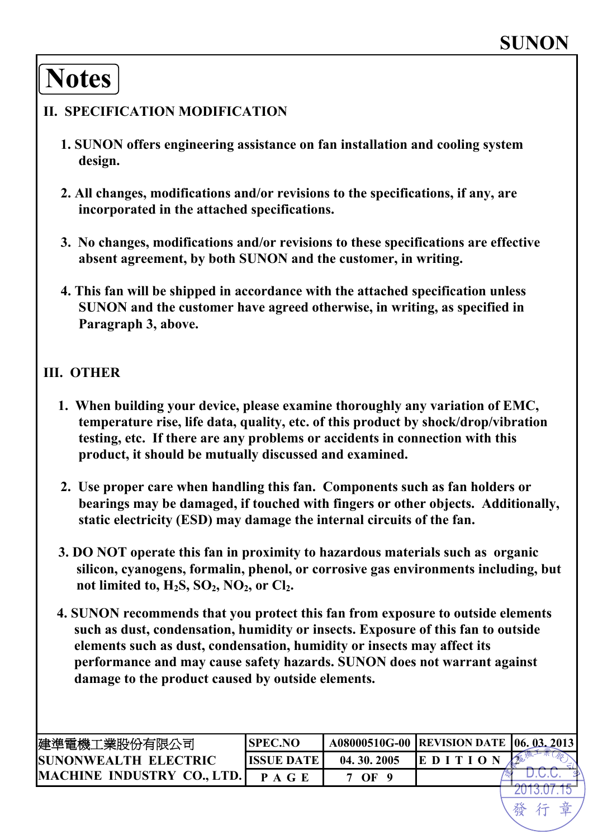# **Notes**

#### **II. SPECIFICATION MODIFICATION**

- **1. SUNON offers engineering assistance on fan installation and cooling system design.**
- **2. All changes, modifications and/or revisions to the specifications, if any, are incorporated in the attached specifications.**
- **3. No changes, modifications and/or revisions to these specifications are effective absent agreement, by both SUNON and the customer, in writing.**
- **4. This fan will be shipped in accordance with the attached specification unless SUNON and the customer have agreed otherwise, in writing, as specified in Paragraph 3, above.**

#### **III. OTHER**

- **1. When building your device, please examine thoroughly any variation of EMC, temperature rise, life data, quality, etc. of this product by shock/drop/vibration testing, etc. If there are any problems or accidents in connection with this product, it should be mutually discussed and examined.**
- **2. Use proper care when handling this fan. Components such as fan holders or bearings may be damaged, if touched with fingers or other objects. Additionally, static electricity (ESD) may damage the internal circuits of the fan.**
- **3. DO NOT operate this fan in proximity to hazardous materials such as organic silicon, cyanogens, formalin, phenol, or corrosive gas environments including, but**  not limited to,  $H_2S$ ,  $SO_2$ ,  $NO_2$ , or  $Cl_2$ .
- **4. SUNON recommends that you protect this fan from exposure to outside elements such as dust, condensation, humidity or insects. Exposure of this fan to outside elements such as dust, condensation, humidity or insects may affect its performance and may cause safety hazards. SUNON does not warrant against damage to the product caused by outside elements.**

| 建準電機工業股份有限公司                 | <b>ISPEC.NO</b> |            | A08000510G-00  REVISION DATE   06. 03. 2013 |  |
|------------------------------|-----------------|------------|---------------------------------------------|--|
| <b>ISUNONWEALTH ELECTRIC</b> | IISSUE DATE     | 04.30.2005 | <b>EDIT</b>                                 |  |
| MACHINE INDUSTRY CO., LTD.   |                 | OF         |                                             |  |
|                              |                 |            |                                             |  |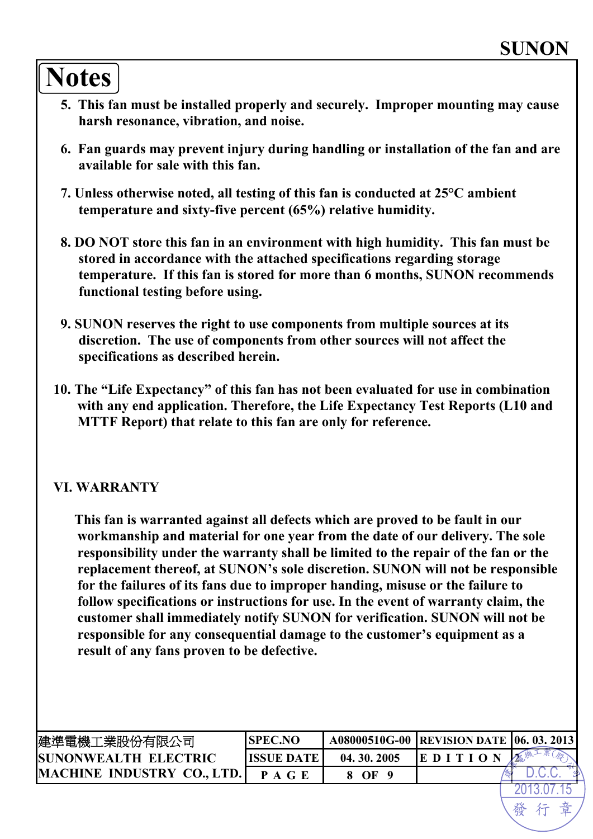# **Notes**

- **5. This fan must be installed properly and securely. Improper mounting may cause harsh resonance, vibration, and noise.**
- **6. Fan guards may prevent injury during handling or installation of the fan and are available for sale with this fan.**
- **7. Unless otherwise noted, all testing of this fan is conducted at 25°C ambient temperature and sixty-five percent (65%) relative humidity.**
- **8. DO NOT store this fan in an environment with high humidity. This fan must be stored in accordance with the attached specifications regarding storage temperature. If this fan is stored for more than 6 months, SUNON recommends functional testing before using.**
- **9. SUNON reserves the right to use components from multiple sources at its discretion. The use of components from other sources will not affect the specifications as described herein.**
- **10. The "Life Expectancy" of this fan has not been evaluated for use in combination with any end application. Therefore, the Life Expectancy Test Reports (L10 and MTTF Report) that relate to this fan are only for reference.**

#### **VI. WARRANTY**

**This fan is warranted against all defects which are proved to be fault in our workmanship and material for one year from the date of our delivery. The sole responsibility under the warranty shall be limited to the repair of the fan or the replacement thereof, at SUNON's sole discretion. SUNON will not be responsible for the failures of its fans due to improper handing, misuse or the failure to follow specifications or instructions for use. In the event of warranty claim, the customer shall immediately notify SUNON for verification. SUNON will not be responsible for any consequential damage to the customer's equipment as a result of any fans proven to be defective.** 

| 建準電機工業股份有限公司                 | <b>SPEC.NO</b> |            | A08000510G-00 REVISION DATE 06. 03. 2013 |   |
|------------------------------|----------------|------------|------------------------------------------|---|
| <b>ISUNONWEALTH ELECTRIC</b> | IISSUE DATE    | 04.30.2005 | ED I                                     | 金 |
| MACHINE INDUSTRY CO., LTD.   | P A G E        | OF         |                                          |   |
|                              |                |            |                                          |   |